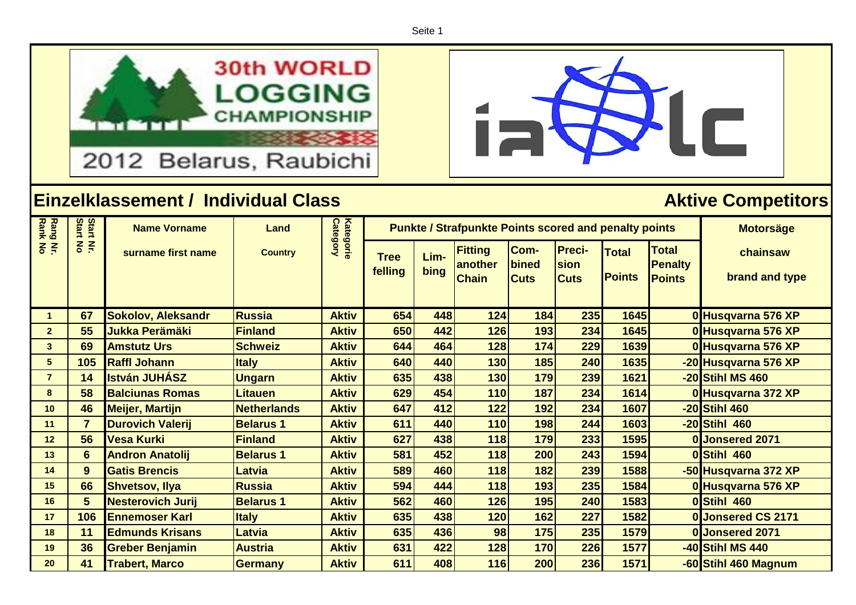Seite 1





 $\blacksquare$ 

| Rang Nr.<br>Rank No | Start<br>Start | <b>Name Vorname</b>       | Land               | Kategorie<br>Category |                        | <b>Punkte / Strafpunkte Points scored and penalty points</b> | <b>Motorsäge</b>                          |                              |                                      |                               |                                                 |                            |
|---------------------|----------------|---------------------------|--------------------|-----------------------|------------------------|--------------------------------------------------------------|-------------------------------------------|------------------------------|--------------------------------------|-------------------------------|-------------------------------------------------|----------------------------|
|                     | $rac{2}{5}$    | surname first name        | <b>Country</b>     |                       | <b>Tree</b><br>felling | Lim-<br>bing                                                 | <b>Fitting</b><br>another<br><b>Chain</b> | Com-<br>bined<br><b>Cuts</b> | <b>Preci-</b><br>sion<br><b>Cuts</b> | <b>Total</b><br><b>Points</b> | <b>Total</b><br><b>Penalty</b><br><b>Points</b> | chainsaw<br>brand and type |
|                     |                |                           |                    |                       |                        |                                                              |                                           |                              |                                      |                               |                                                 |                            |
|                     | 67             | <b>Sokolov, Aleksandr</b> | <b>Russia</b>      | <b>Aktiv</b>          | 654                    | 448                                                          | 124                                       | 184                          | 235                                  | 1645                          |                                                 | 0 Husqvarna 576 XP         |
| $\overline{2}$      | 55             | <b>Jukka Perämäki</b>     | <b>Finland</b>     | <b>Aktiv</b>          | 650                    | 442                                                          | 126                                       | 193                          | 234                                  | 1645                          |                                                 | 0 Husqvarna 576 XP         |
| $\mathbf{3}$        | 69             | <b>Amstutz Urs</b>        | <b>Schweiz</b>     | <b>Aktiv</b>          | 644                    | 464                                                          | 128                                       | 174                          | 229                                  | 1639                          |                                                 | 0 Husqvarna 576 XP         |
| $5\phantom{1}$      | 105            | <b>Raffl Johann</b>       | <b>Italy</b>       | <b>Aktiv</b>          | 640                    | 440                                                          | 130                                       | 185                          | 240                                  | 1635                          |                                                 | -20 Husqvarna 576 XP       |
| $\overline{7}$      | 14             | <b>István JUHÁSZ</b>      | <b>Ungarn</b>      | <b>Aktiv</b>          | 635                    | 438                                                          | 130                                       | 179                          | 239                                  | 1621                          |                                                 | -20 Stihl MS 460           |
| 8                   | 58             | <b>Balciunas Romas</b>    | <b>Litauen</b>     | <b>Aktiv</b>          | 629                    | 454                                                          | 110                                       | 187                          | 234                                  | 1614                          |                                                 | 0 Husqvarna 372 XP         |
| 10                  | 46             | <b>Meijer, Martijn</b>    | <b>Netherlands</b> | <b>Aktiv</b>          | 647                    | 412                                                          | 122                                       | 192                          | 234                                  | 1607                          |                                                 | -20 Stihl 460              |
| 11                  | $\overline{7}$ | <b>Durovich Valerij</b>   | <b>Belarus 1</b>   | <b>Aktiv</b>          | 611                    | 440                                                          | 110                                       | 198                          | 244                                  | 1603                          |                                                 | -20 Stihl 460              |
| 12                  | 56             | Vesa Kurki                | <b>Finland</b>     | <b>Aktiv</b>          | 627                    | 438                                                          | 118                                       | 179                          | 233                                  | 1595                          |                                                 | 0 Jonsered 2071            |
| 13                  | 6              | <b>Andron Anatolij</b>    | <b>Belarus 1</b>   | <b>Aktiv</b>          | 581                    | 452                                                          | 118                                       | 200                          | 243                                  | 1594                          |                                                 | 0Stihl 460                 |
| 14                  | 9 <sup>°</sup> | <b>Gatis Brencis</b>      | <b>Latvia</b>      | <b>Aktiv</b>          | 589                    | 460                                                          | 118                                       | 182                          | 239                                  | 1588                          |                                                 | -50 Husqvarna 372 XP       |
| 15                  | 66             | <b>Shvetsov, Ilya</b>     | <b>Russia</b>      | <b>Aktiv</b>          | 594                    | 444                                                          | 118                                       | 193                          | 235                                  | 1584                          |                                                 | 0 Husqvarna 576 XP         |
| 16                  | 5              | <b>Nesterovich Jurij</b>  | <b>Belarus 1</b>   | <b>Aktiv</b>          | 562                    | 460                                                          | 126                                       | 195                          | 240                                  | 1583                          |                                                 | 0Stihl 460                 |
| 17                  | 106            | <b>IEnnemoser Karl</b>    | <b>Italy</b>       | <b>Aktiv</b>          | 635                    | 438                                                          | 120                                       | 162                          | 227                                  | 1582                          |                                                 | 0 Jonsered CS 2171         |
| 18                  | 11             | <b>Edmunds Krisans</b>    | Latvia             | <b>Aktiv</b>          | 635                    | 436                                                          | 98                                        | 175                          | 235                                  | 1579                          |                                                 | 0 Jonsered 2071            |
| 19                  | 36             | <b>Greber Benjamin</b>    | <b>Austria</b>     | <b>Aktiv</b>          | 631                    | 422                                                          | 128                                       | 170                          | 226                                  | 1577                          |                                                 | -40 Stihl MS 440           |
| 20                  | 41             | <b>Trabert, Marco</b>     | <b>Germany</b>     | <b>Aktiv</b>          | 611                    | 408                                                          | 116                                       | 200                          | 236                                  | 1571                          |                                                 | -60 Stihl 460 Magnum       |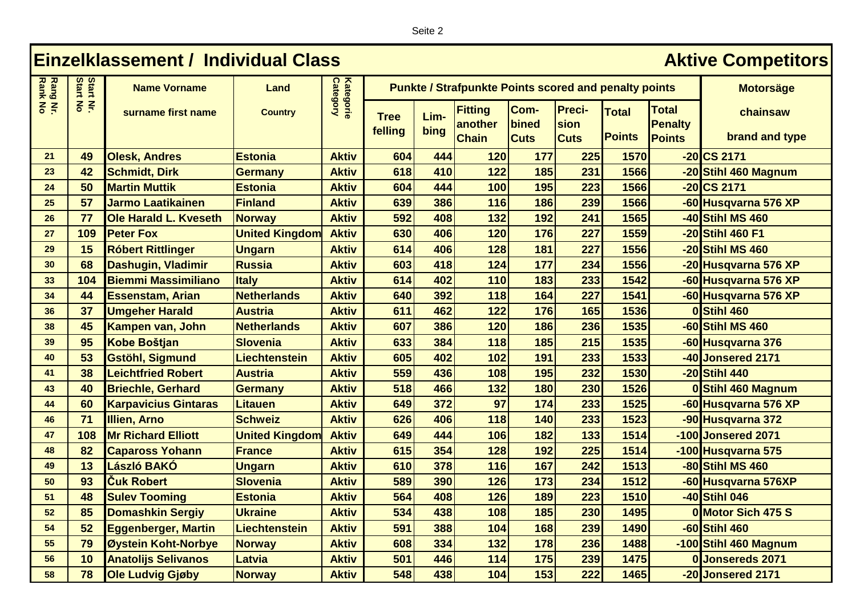Seite 2

## **Einzelklassement / Individual Class <b>Aktive Competitors Aktive Competitors Rang Nr. Category** Start<br>Start **Rank No Start No Start Nr. Kategorie Name Vorname Land Motorsäge Punkte / Strafpunkte Points scored and penalty points**  $\frac{2}{5}$ **Preci-Fitting Com-Total surname first name Country Total chainsaw Lim-Tree another bined Penalty sion felling bing Points points brand and type Points Chain Cuts Cuts 21 49 Olesk, Andres Estonia Aktiv 604 444 120 177 225 1570 -20 CS 2171 23 42 Schmidt, Dirk Germany Aktiv 618 410 122 185 231 1566 -20 Stihl 460 Magnum 24 50 Martin Muttik Estonia Aktiv 604 444 100 195 223 1566 -20 CS 2171 25 57 Jarmo Laatikainen Finland Aktiv 639 386 116 186 239 1566 -60 Husqvarna 576 XP 26 77 Ole Harald L. Kveseth Norway Aktiv 592 408 132 192 241 1565 -40 Stihl MS 460 27 109 Peter Fox United Kingdom Aktiv 630 406 120 176 227 1559 -20 Stihl 460 F1 29 15 Róbert Rittlinger Ungarn Aktiv 614 406 128 181 227 1556 -20 Stihl MS 460 30 68 Dashugin, Vladimir Russia Aktiv 603 418 124 177 234 1556 -20 Husqvarna 576 XP 33 104 Biemmi Massimiliano Italy Aktiv 614 402 110 183 233 1542 -60 Husqvarna 576 XP 34 44 Essenstam, Arian Netherlands Aktiv 640 392 118 164 227 1541 -60 Husqvarna 576 XP 36 37 Umgeher Harald Austria Aktiv 611 462 122 176 165 1536 0 Stihl 460 38 45 Kampen van, John Netherlands Aktiv 607 386 120 186 236 1535 -60 Stihl MS 460 39 95 Kobe Boštjan Slovenia Aktiv 633 384 118 185 215 1535 -60 Husqvarna 376 40 53 Gstöhl, Sigmund Liechtenstein Aktiv 605 402 102 191 233 1533 -40 Jonsered 2171 41 38 Leichtfried Robert Austria Aktiv 559 436 108 195 232 1530 -20 Stihl 440 43 40 Briechle, Gerhard Germany Aktiv 518 466 132 180 230 1526 0 Stihl 460 Magnum 44 60 Karpavicius Gintaras Litauen Aktiv 649 372 97 174 233 1525 -60 Husqvarna 576 XP 46 71 Illien, Arno Schweiz Aktiv 626 406 118 140 233 1523 -90 Husqvarna 372 47 108 Mr Richard Elliott United Kingdom Aktiv 649 444 106 182 133 1514 -100 Jonsered 2071 48 82 Capaross Yohann France Aktiv 615 354 128 192 225 1514 -100 Husqvarna 575 49 13 László BAKÓ Ungarn Aktiv 610 378 116 167 242 1513 -80 Stihl MS 460 50 93 Čuk Robert Slovenia Aktiv 589 390 126 173 234 1512 -60 Husqvarna 576XP 51 48 Sulev Tooming Estonia Aktiv 564 408 126 189 223 1510 -40 Stihl 046 52 85 Domashkin Sergiy Ukraine Aktiv 534 438 108 185 230 1495 0 Motor Sich 475 S 54 52 Eggenberger, Martin Liechtenstein Aktiv 591 388 104 168 239 1490 -60 Stihl 460 55 79 Øystein Koht-Norbye Norway Aktiv 608 334 132 178 236 1488 -100 Stihl 460 Magnum 56 10 Anatolijs Selivanos Latvia Aktiv 501 446 114 175 239 1475 0 Jonsereds 2071 58 78 Ole Ludvig Gjøby Norway Aktiv 548 438 104 153 222 1465 -20 Jonsered 2171**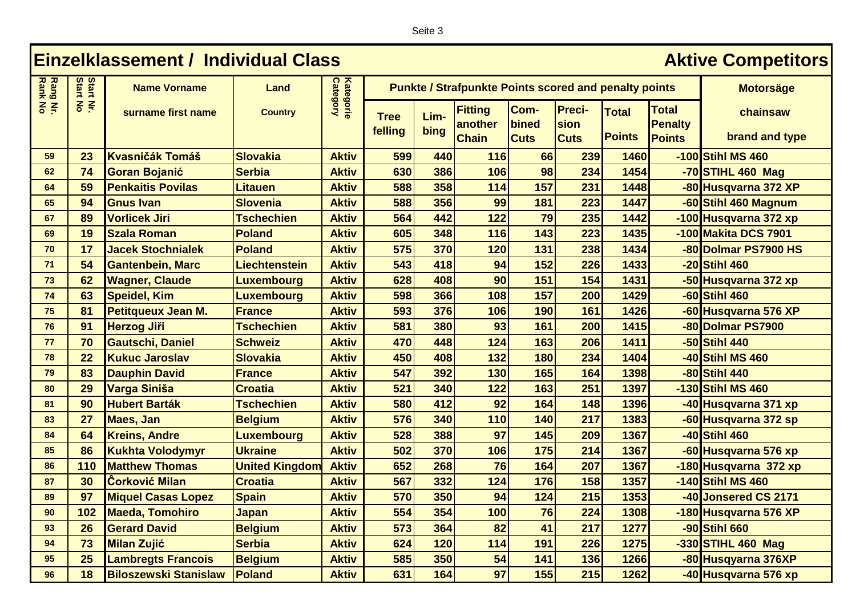| eite |  |
|------|--|
|------|--|

## **Einzelklassement / Individual Class <b>Aktive Competitors Aktive Competitors Rang Nr. Category** Start<br>Start **Rank No Start No Start Nr. Kategorie Name Vorname Land Motorsäge Punkte / Strafpunkte Points scored and penalty points**  $\frac{2}{5}$ **Fitting Com-Preci-Total surname first name Country Total chainsaw Lim-Tree another bined Penalty sion felling bing Points points brand and type Chain Cuts Cuts Points 59 23 Kvasničák Tomáš Slovakia Aktiv 599 440 116 66 239 1460 -100 Stihl MS 460 62 74 Goran Bojanić Serbia Aktiv 630 386 106 98 234 1454 -70 STIHL 460 Mag 64 59 Penkaitis Povilas Litauen Aktiv 588 358 114 157 231 1448 -80 Husqvarna 372 XP 65 94 Gnus Ivan Slovenia Aktiv 588 356 99 181 223 1447 -60 Stihl 460 Magnum 67 89 Vorlicek Jiri Tschechien Aktiv 564 442 122 79 235 1442 -100 Husqvarna 372 xp 69 19 Szala Roman Poland Aktiv 605 348 116 143 223 1435 -100 Makita DCS 7901 70 17 Jacek Stochnialek Poland Aktiv 575 370 120 131 238 1434 -80 Dolmar PS7900 HS 71 54 Gantenbein, Marc Liechtenstein Aktiv 543 418 94 152 226 1433 -20 Stihl 460 73 62 Wagner, Claude Luxembourg Aktiv 628 408 90 151 154 1431 -50 Husqvarna 372 xp 74 63 Speidel, Kim Luxembourg Aktiv 598 366 108 157 200 1429 -60 Stihl 460 75 81 Petitqueux Jean M. France Aktiv 593 376 106 190 161 1426 -60 Husqvarna 576 XP 76 91 Herzog Jiři Tschechien Aktiv 581 380 93 161 200 1415 -80 Dolmar PS7900 77 70 Gautschi, Daniel Schweiz Aktiv 470 448 124 163 206 1411 -50 Stihl 440 78 22 Kukuc Jaroslav Slovakia Aktiv 450 408 132 180 234 1404 -40 Stihl MS 460 79 83 Dauphin David France Aktiv 547 392 130 165 164 1398 -80 Stihl 440 80 29 Varga Siniša Croatia Aktiv 521 340 122 163 251 1397 -130 Stihl MS 460 81 90 Hubert Barták Tschechien Aktiv 580 412 92 164 148 1396 -40 Husqvarna 371 xp 83 27 Maes, Jan Belgium Aktiv 576 340 110 140 217 1383 -60 Husqvarna 372 sp 84 64 Kreins, Andre Luxembourg Aktiv 528 388 97 145 209 1367 -40 Stihl 460 85 86 Kukhta Volodymyr Ukraine Aktiv 502 370 106 175 214 1367 -60 Husqvarna 576 xp 86 110 Matthew Thomas United Kingdom Aktiv 652 268 76 164 207 1367 -180 Husqvarna 372 xp 87 30 Ĉorković Milan Croatia Aktiv 567 332 124 176 158 1357 -140 Stihl MS 460 89 97 Miquel Casas Lopez Spain Aktiv 570 350 94 124 215 1353 -40 Jonsered CS 2171 90 102 Maeda, Tomohiro Japan Aktiv 554 354 100 76 224 1308 -180 Husqvarna 576 XP 93 26 Gerard David Belgium Aktiv 573 364 82 41 217 1277 -90 Stihl 660 94 73 Milan Zujić Serbia Aktiv 624 120 114 191 226 1275 -330 STIHL 460 Mag 95 25 Lambregts Francois Belgium Aktiv 585 350 54 141 136 1266 -80 Husqyarna 376XP 96 18 Biloszewski Stanislaw Poland Aktiv 631 164 97 155 215 1262 -40 Husqvarna 576 xp**